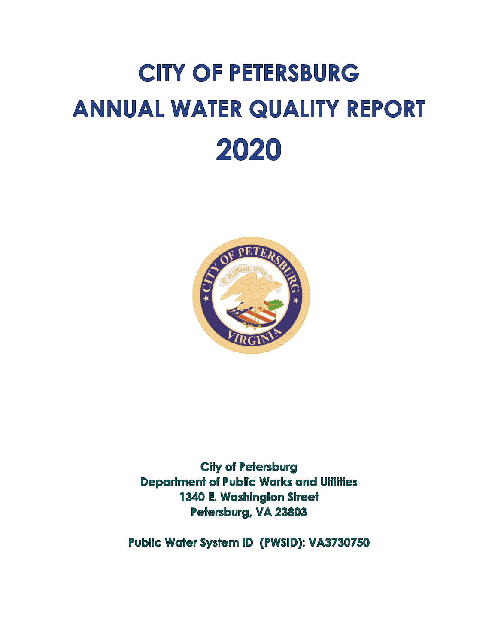# **CITY OF PETERSBURG ANNUAL WATER QUALITY REPORT** 2020



**City of Petersburg Department of Public Works and Utilities** 1340 E. Washington Street Petersburg, VA 23803

Public Water System ID (PWSID): VA3730750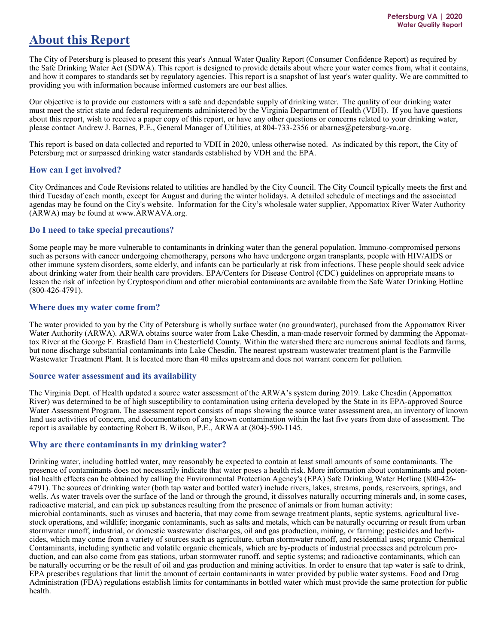## **About this Report**

The City of Petersburg is pleased to present this year's Annual Water Quality Report (Consumer Confidence Report) as required by the Safe Drinking Water Act (SDWA). This report is designed to provide details about where your water comes from, what it contains, and how it compares to standards set by regulatory agencies. This report is a snapshot of last year's water quality. We are committed to providing you with information because informed customers are our best allies.

Our objective is to provide our customers with a safe and dependable supply of drinking water. The quality of our drinking water must meet the strict state and federal requirements administered by the Virginia Department of Health (VDH). If you have questions about this report, wish to receive a paper copy of this report, or have any other questions or concerns related to your drinking water, please contact Andrew J. Barnes, P.E., General Manager of Utilities, at 804-733-2356 or abarnes@petersburg-va.org.

This report is based on data collected and reported to VDH in 2020, unless otherwise noted. As indicated by this report, the City of Petersburg met or surpassed drinking water standards established by VDH and the EPA.

#### **How can I get involved?**

City Ordinances and Code Revisions related to utilities are handled by the City Council. The City Council typically meets the first and third Tuesday of each month, except for August and during the winter holidays. A detailed schedule of meetings and the associated agendas may be found on the City's website. Information for the City's wholesale water supplier, Appomattox River Water Authority (ARWA) may be found at www.ARWAVA.org.

#### **Do I need to take special precautions?**

Some people may be more vulnerable to contaminants in drinking water than the general population. Immuno-compromised persons such as persons with cancer undergoing chemotherapy, persons who have undergone organ transplants, people with HIV/AIDS or other immune system disorders, some elderly, and infants can be particularly at risk from infections. These people should seek advice about drinking water from their health care providers. EPA/Centers for Disease Control (CDC) guidelines on appropriate means to lessen the risk of infection by Cryptosporidium and other microbial contaminants are available from the Safe Water Drinking Hotline (800-426-4791).

#### **Where does my water come from?**

The water provided to you by the City of Petersburg is wholly surface water (no groundwater), purchased from the Appomattox River Water Authority (ARWA). ARWA obtains source water from Lake Chesdin, a man-made reservoir formed by damming the Appomattox River at the George F. Brasfield Dam in Chesterfield County. Within the watershed there are numerous animal feedlots and farms, but none discharge substantial contaminants into Lake Chesdin. The nearest upstream wastewater treatment plant is the Farmville Wastewater Treatment Plant. It is located more than 40 miles upstream and does not warrant concern for pollution.

#### **Source water assessment and its availability**

The Virginia Dept. of Health updated a source water assessment of the ARWA's system during 2019. Lake Chesdin (Appomattox River) was determined to be of high susceptibility to contamination using criteria developed by the State in its EPA-approved Source Water Assessment Program. The assessment report consists of maps showing the source water assessment area, an inventory of known land use activities of concern, and documentation of any known contamination within the last five years from date of assessment. The report is available by contacting Robert B. Wilson, P.E., ARWA at (804)-590-1145.

#### **Why are there contaminants in my drinking water?**

Drinking water, including bottled water, may reasonably be expected to contain at least small amounts of some contaminants. The presence of contaminants does not necessarily indicate that water poses a health risk. More information about contaminants and potential health effects can be obtained by calling the Environmental Protection Agency's (EPA) Safe Drinking Water Hotline (800-426- 4791). The sources of drinking water (both tap water and bottled water) include rivers, lakes, streams, ponds, reservoirs, springs, and wells. As water travels over the surface of the land or through the ground, it dissolves naturally occurring minerals and, in some cases, radioactive material, and can pick up substances resulting from the presence of animals or from human activity: microbial contaminants, such as viruses and bacteria, that may come from sewage treatment plants, septic systems, agricultural livestock operations, and wildlife; inorganic contaminants, such as salts and metals, which can be naturally occurring or result from urban stormwater runoff, industrial, or domestic wastewater discharges, oil and gas production, mining, or farming; pesticides and herbicides, which may come from a variety of sources such as agriculture, urban stormwater runoff, and residential uses; organic Chemical Contaminants, including synthetic and volatile organic chemicals, which are by-products of industrial processes and petroleum production, and can also come from gas stations, urban stormwater runoff, and septic systems; and radioactive contaminants, which can be naturally occurring or be the result of oil and gas production and mining activities. In order to ensure that tap water is safe to drink, EPA prescribes regulations that limit the amount of certain contaminants in water provided by public water systems. Food and Drug Administration (FDA) regulations establish limits for contaminants in bottled water which must provide the same protection for public health.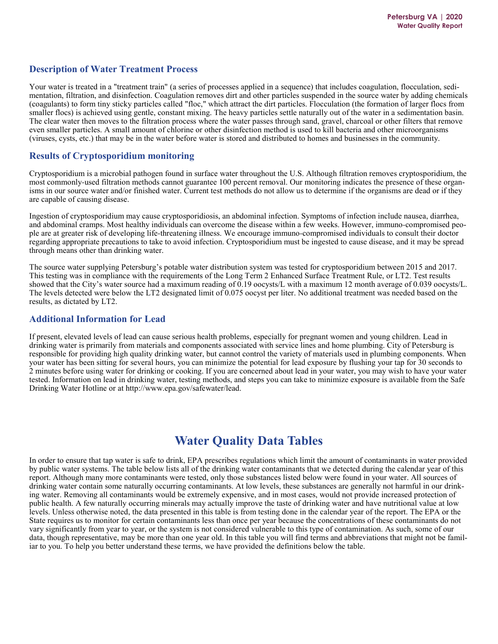## **Description of Water Treatment Process**

Your water is treated in a "treatment train" (a series of processes applied in a sequence) that includes coagulation, flocculation, sedimentation, filtration, and disinfection. Coagulation removes dirt and other particles suspended in the source water by adding chemicals (coagulants) to form tiny sticky particles called "floc," which attract the dirt particles. Flocculation (the formation of larger flocs from smaller flocs) is achieved using gentle, constant mixing. The heavy particles settle naturally out of the water in a sedimentation basin. The clear water then moves to the filtration process where the water passes through sand, gravel, charcoal or other filters that remove even smaller particles. A small amount of chlorine or other disinfection method is used to kill bacteria and other microorganisms (viruses, cysts, etc.) that may be in the water before water is stored and distributed to homes and businesses in the community.

## **Results of Cryptosporidium monitoring**

Cryptosporidium is a microbial pathogen found in surface water throughout the U.S. Although filtration removes cryptosporidium, the most commonly-used filtration methods cannot guarantee 100 percent removal. Our monitoring indicates the presence of these organisms in our source water and/or finished water. Current test methods do not allow us to determine if the organisms are dead or if they are capable of causing disease.

Ingestion of cryptosporidium may cause cryptosporidiosis, an abdominal infection. Symptoms of infection include nausea, diarrhea, and abdominal cramps. Most healthy individuals can overcome the disease within a few weeks. However, immuno-compromised people are at greater risk of developing life-threatening illness. We encourage immuno-compromised individuals to consult their doctor regarding appropriate precautions to take to avoid infection. Cryptosporidium must be ingested to cause disease, and it may be spread through means other than drinking water.

The source water supplying Petersburg's potable water distribution system was tested for cryptosporidium between 2015 and 2017. This testing was in compliance with the requirements of the Long Term 2 Enhanced Surface Treatment Rule, or LT2. Test results showed that the City's water source had a maximum reading of 0.19 oocysts/L with a maximum 12 month average of 0.039 oocysts/L. The levels detected were below the LT2 designated limit of 0.075 oocyst per liter. No additional treatment was needed based on the results, as dictated by LT2.

#### **Additional Information for Lead**

If present, elevated levels of lead can cause serious health problems, especially for pregnant women and young children. Lead in drinking water is primarily from materials and components associated with service lines and home plumbing. City of Petersburg is responsible for providing high quality drinking water, but cannot control the variety of materials used in plumbing components. When your water has been sitting for several hours, you can minimize the potential for lead exposure by flushing your tap for 30 seconds to 2 minutes before using water for drinking or cooking. If you are concerned about lead in your water, you may wish to have your water tested. Information on lead in drinking water, testing methods, and steps you can take to minimize exposure is available from the Safe Drinking Water Hotline or at http://www.epa.gov/safewater/lead.

## **Water Quality Data Tables**

In order to ensure that tap water is safe to drink, EPA prescribes regulations which limit the amount of contaminants in water provided by public water systems. The table below lists all of the drinking water contaminants that we detected during the calendar year of this report. Although many more contaminants were tested, only those substances listed below were found in your water. All sources of drinking water contain some naturally occurring contaminants. At low levels, these substances are generally not harmful in our drinking water. Removing all contaminants would be extremely expensive, and in most cases, would not provide increased protection of public health. A few naturally occurring minerals may actually improve the taste of drinking water and have nutritional value at low levels. Unless otherwise noted, the data presented in this table is from testing done in the calendar year of the report. The EPA or the State requires us to monitor for certain contaminants less than once per year because the concentrations of these contaminants do not vary significantly from year to year, or the system is not considered vulnerable to this type of contamination. As such, some of our data, though representative, may be more than one year old. In this table you will find terms and abbreviations that might not be familiar to you. To help you better understand these terms, we have provided the definitions below the table.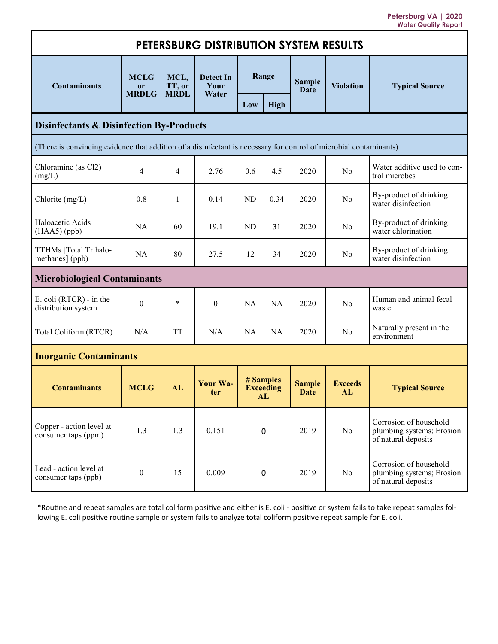**Petersburg VA | 2020 Water Quality Report** 

| PETERSBURG DISTRIBUTION SYSTEM RESULTS                                                                            |                                   |                               |                            |           |                                     |                       |                      |                                                                            |
|-------------------------------------------------------------------------------------------------------------------|-----------------------------------|-------------------------------|----------------------------|-----------|-------------------------------------|-----------------------|----------------------|----------------------------------------------------------------------------|
| <b>Contaminants</b>                                                                                               | <b>MCLG</b><br>or<br><b>MRDLG</b> | MCL,<br>TT, or<br><b>MRDL</b> | Detect In<br>Your<br>Water | Range     |                                     | <b>Sample</b><br>Date | <b>Violation</b>     | <b>Typical Source</b>                                                      |
|                                                                                                                   |                                   |                               |                            | Low       | <b>High</b>                         |                       |                      |                                                                            |
| <b>Disinfectants &amp; Disinfection By-Products</b>                                                               |                                   |                               |                            |           |                                     |                       |                      |                                                                            |
| (There is convincing evidence that addition of a disinfectant is necessary for control of microbial contaminants) |                                   |                               |                            |           |                                     |                       |                      |                                                                            |
| Chloramine (as Cl2)<br>(mg/L)                                                                                     | 4                                 | $\overline{4}$                | 2.76                       | 0.6       | 4.5                                 | 2020                  | N <sub>o</sub>       | Water additive used to con-<br>trol microbes                               |
| Chlorite (mg/L)                                                                                                   | 0.8                               | 1                             | 0.14                       | <b>ND</b> | 0.34                                | 2020                  | No                   | By-product of drinking<br>water disinfection                               |
| Haloacetic Acids<br>$(HAA5)$ (ppb)                                                                                | <b>NA</b>                         | 60                            | 19.1                       | <b>ND</b> | 31                                  | 2020                  | N <sub>0</sub>       | By-product of drinking<br>water chlorination                               |
| TTHMs [Total Trihalo-<br>methanes] (ppb)                                                                          | <b>NA</b>                         | 80                            | 27.5                       | 12        | 34                                  | 2020                  | N <sub>0</sub>       | By-product of drinking<br>water disinfection                               |
| <b>Microbiological Contaminants</b>                                                                               |                                   |                               |                            |           |                                     |                       |                      |                                                                            |
| E. coli (RTCR) - in the<br>distribution system                                                                    | $\mathbf{0}$                      | $\ast$                        | $\theta$                   | <b>NA</b> | <b>NA</b>                           | 2020                  | N <sub>0</sub>       | Human and animal fecal<br>waste                                            |
| Total Coliform (RTCR)                                                                                             | N/A                               | <b>TT</b>                     | N/A                        | <b>NA</b> | NA                                  | 2020                  | No                   | Naturally present in the<br>environment                                    |
| <b>Inorganic Contaminants</b>                                                                                     |                                   |                               |                            |           |                                     |                       |                      |                                                                            |
| <b>Contaminants</b>                                                                                               | <b>MCLG</b>                       | AL                            | Your Wa-<br>ter            |           | # Samples<br><b>Exceeding</b><br>AL | <b>Sample</b><br>Date | <b>Exceeds</b><br>AL | <b>Typical Source</b>                                                      |
| Copper - action level at<br>consumer taps (ppm)                                                                   | 1.3                               | 1.3                           | 0.151                      | 0         |                                     | 2019                  | No                   | Corrosion of household<br>plumbing systems; Erosion<br>of natural deposits |
| Lead - action level at<br>consumer taps (ppb)                                                                     | $\boldsymbol{0}$                  | 15                            | 0.009                      | 0         |                                     | 2019                  | N <sub>o</sub>       | Corrosion of household<br>plumbing systems; Erosion<br>of natural deposits |

\*Routine and repeat samples are total coliform positive and either is E. coli - positive or system fails to take repeat samples following E. coli positive routine sample or system fails to analyze total coliform positive repeat sample for E. coli.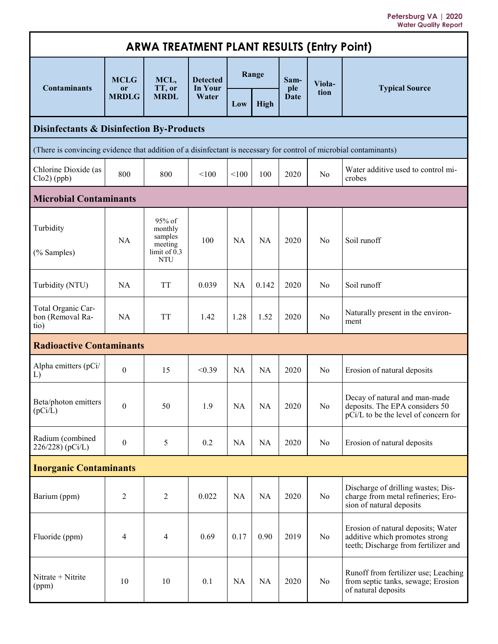**Petersburg VA | 2020 Water Quality Report** 

| <b>ARWA TREATMENT PLANT RESULTS (Entry Point)</b>                                                                 |                    |                                                                         |                                            |           |             |                    |                |                                                                                                              |
|-------------------------------------------------------------------------------------------------------------------|--------------------|-------------------------------------------------------------------------|--------------------------------------------|-----------|-------------|--------------------|----------------|--------------------------------------------------------------------------------------------------------------|
| <b>Contaminants</b>                                                                                               | <b>MCLG</b>        | MCL,<br>TT, or<br><b>MRDL</b>                                           | <b>Detected</b><br><b>In Your</b><br>Water | Range     |             | Sam-               | Viola-         | <b>Typical Source</b>                                                                                        |
|                                                                                                                   | or<br><b>MRDLG</b> |                                                                         |                                            | Low       | <b>High</b> | ple<br><b>Date</b> | tion           |                                                                                                              |
| <b>Disinfectants &amp; Disinfection By-Products</b>                                                               |                    |                                                                         |                                            |           |             |                    |                |                                                                                                              |
| (There is convincing evidence that addition of a disinfectant is necessary for control of microbial contaminants) |                    |                                                                         |                                            |           |             |                    |                |                                                                                                              |
| Chlorine Dioxide (as<br>$Clo2$ (ppb)                                                                              | 800                | 800                                                                     | < 100                                      | < 100     | 100         | 2020               | No             | Water additive used to control mi-<br>crobes                                                                 |
| <b>Microbial Contaminants</b>                                                                                     |                    |                                                                         |                                            |           |             |                    |                |                                                                                                              |
| Turbidity<br>(% Samples)                                                                                          | <b>NA</b>          | 95% of<br>monthly<br>samples<br>meeting<br>limit of $0.3$<br><b>NTU</b> | 100                                        | <b>NA</b> | <b>NA</b>   | 2020               | N <sub>0</sub> | Soil runoff                                                                                                  |
| Turbidity (NTU)                                                                                                   | <b>NA</b>          | <b>TT</b>                                                               | 0.039                                      | <b>NA</b> | 0.142       | 2020               | No             | Soil runoff                                                                                                  |
| Total Organic Car-<br>bon (Removal Ra-<br>tio)                                                                    | <b>NA</b>          | <b>TT</b>                                                               | 1.42                                       | 1.28      | 1.52        | 2020               | No             | Naturally present in the environ-<br>ment                                                                    |
| <b>Radioactive Contaminants</b>                                                                                   |                    |                                                                         |                                            |           |             |                    |                |                                                                                                              |
| Alpha emitters (pCi/<br>L)                                                                                        | $\boldsymbol{0}$   | 15                                                                      | < 0.39                                     | <b>NA</b> | <b>NA</b>   | 2020               | No             | Erosion of natural deposits                                                                                  |
| Beta/photon emitters<br>(pCi/L)                                                                                   | $\boldsymbol{0}$   | 50                                                                      | 1.9                                        | <b>NA</b> | <b>NA</b>   | 2020               | No             | Decay of natural and man-made<br>deposits. The EPA considers 50<br>pCi/L to be the level of concern for      |
| Radium (combined<br>226/228) (pCi/L)                                                                              | $\boldsymbol{0}$   | 5                                                                       | 0.2                                        | <b>NA</b> | NA          | 2020               | No             | Erosion of natural deposits                                                                                  |
| <b>Inorganic Contaminants</b>                                                                                     |                    |                                                                         |                                            |           |             |                    |                |                                                                                                              |
| Barium (ppm)                                                                                                      | 2                  | $\overline{2}$                                                          | 0.022                                      | <b>NA</b> | NA          | 2020               | No             | Discharge of drilling wastes; Dis-<br>charge from metal refineries; Ero-<br>sion of natural deposits         |
| Fluoride (ppm)                                                                                                    | 4                  | $\overline{\mathbf{4}}$                                                 | 0.69                                       | 0.17      | 0.90        | 2019               | No             | Erosion of natural deposits; Water<br>additive which promotes strong<br>teeth; Discharge from fertilizer and |
| Nitrate + Nitrite<br>(ppm)                                                                                        | 10                 | 10                                                                      | 0.1                                        | <b>NA</b> | NA          | 2020               | N <sub>o</sub> | Runoff from fertilizer use; Leaching<br>from septic tanks, sewage; Erosion<br>of natural deposits            |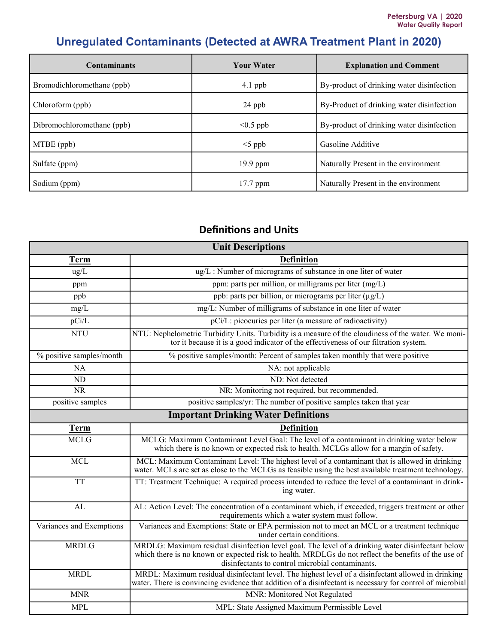# **Unregulated Contaminants (Detected at AWRA Treatment Plant in 2020)**

| <b>Contaminants</b>        | <b>Your Water</b> | <b>Explanation and Comment</b>            |
|----------------------------|-------------------|-------------------------------------------|
| Bromodichloromethane (ppb) | $4.1$ ppb         | By-product of drinking water disinfection |
| Chloroform (ppb)           | $24$ ppb          | By-Product of drinking water disinfection |
| Dibromochloromethane (ppb) | $< 0.5$ ppb       | By-product of drinking water disinfection |
| MTBE (ppb)                 | $<$ 5 ppb         | Gasoline Additive                         |
| Sulfate (ppm)              | $19.9$ ppm        | Naturally Present in the environment      |
| Sodium (ppm)               | $17.7$ ppm        | Naturally Present in the environment      |

## **Definitions and Units**

| <b>Unit Descriptions</b>                    |                                                                                                                                                                                                                                                               |  |  |  |  |  |
|---------------------------------------------|---------------------------------------------------------------------------------------------------------------------------------------------------------------------------------------------------------------------------------------------------------------|--|--|--|--|--|
| <b>Term</b>                                 | <b>Definition</b>                                                                                                                                                                                                                                             |  |  |  |  |  |
| ug/L                                        | ug/L: Number of micrograms of substance in one liter of water                                                                                                                                                                                                 |  |  |  |  |  |
| ppm                                         | ppm: parts per million, or milligrams per liter (mg/L)                                                                                                                                                                                                        |  |  |  |  |  |
| ppb                                         | ppb: parts per billion, or micrograms per liter (µg/L)                                                                                                                                                                                                        |  |  |  |  |  |
| mg/L                                        | mg/L: Number of milligrams of substance in one liter of water                                                                                                                                                                                                 |  |  |  |  |  |
| pCi/L                                       | pCi/L: picocuries per liter (a measure of radioactivity)                                                                                                                                                                                                      |  |  |  |  |  |
| <b>NTU</b>                                  | NTU: Nephelometric Turbidity Units. Turbidity is a measure of the cloudiness of the water. We moni-<br>tor it because it is a good indicator of the effectiveness of our filtration system.                                                                   |  |  |  |  |  |
| % positive samples/month                    | % positive samples/month: Percent of samples taken monthly that were positive                                                                                                                                                                                 |  |  |  |  |  |
| NA                                          | NA: not applicable                                                                                                                                                                                                                                            |  |  |  |  |  |
| ND                                          | ND: Not detected                                                                                                                                                                                                                                              |  |  |  |  |  |
| <b>NR</b>                                   | NR: Monitoring not required, but recommended.                                                                                                                                                                                                                 |  |  |  |  |  |
| positive samples                            | positive samples/yr: The number of positive samples taken that year                                                                                                                                                                                           |  |  |  |  |  |
| <b>Important Drinking Water Definitions</b> |                                                                                                                                                                                                                                                               |  |  |  |  |  |
| <b>Term</b>                                 | <b>Definition</b>                                                                                                                                                                                                                                             |  |  |  |  |  |
| <b>MCLG</b>                                 | MCLG: Maximum Contaminant Level Goal: The level of a contaminant in drinking water below<br>which there is no known or expected risk to health. MCLGs allow for a margin of safety.                                                                           |  |  |  |  |  |
| <b>MCL</b>                                  | MCL: Maximum Contaminant Level: The highest level of a contaminant that is allowed in drinking<br>water. MCLs are set as close to the MCLGs as feasible using the best available treatment technology.                                                        |  |  |  |  |  |
| <b>TT</b>                                   | TT: Treatment Technique: A required process intended to reduce the level of a contaminant in drink-<br>ing water.                                                                                                                                             |  |  |  |  |  |
| AL                                          | AL: Action Level: The concentration of a contaminant which, if exceeded, triggers treatment or other<br>requirements which a water system must follow.                                                                                                        |  |  |  |  |  |
| Variances and Exemptions                    | Variances and Exemptions: State or EPA permission not to meet an MCL or a treatment technique<br>under certain conditions.                                                                                                                                    |  |  |  |  |  |
| <b>MRDLG</b>                                | MRDLG: Maximum residual disinfection level goal. The level of a drinking water disinfectant below<br>which there is no known or expected risk to health. MRDLGs do not reflect the benefits of the use of<br>disinfectants to control microbial contaminants. |  |  |  |  |  |
| <b>MRDL</b>                                 | MRDL: Maximum residual disinfectant level. The highest level of a disinfectant allowed in drinking<br>water. There is convincing evidence that addition of a disinfectant is necessary for control of microbial                                               |  |  |  |  |  |
| <b>MNR</b>                                  | MNR: Monitored Not Regulated                                                                                                                                                                                                                                  |  |  |  |  |  |
| <b>MPL</b>                                  | MPL: State Assigned Maximum Permissible Level                                                                                                                                                                                                                 |  |  |  |  |  |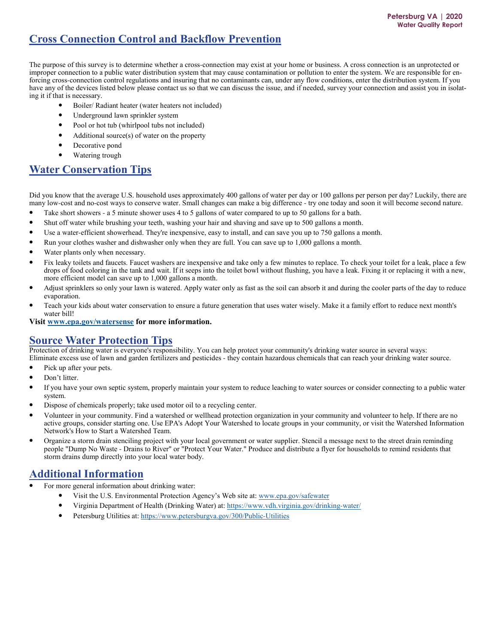## **Cross Connection Control and Backflow Prevention**

The purpose of this survey is to determine whether a cross-connection may exist at your home or business. A cross connection is an unprotected or improper connection to a public water distribution system that may cause contamination or pollution to enter the system. We are responsible for enforcing cross-connection control regulations and insuring that no contaminants can, under any flow conditions, enter the distribution system. If you have any of the devices listed below please contact us so that we can discuss the issue, and if needed, survey your connection and assist you in isolating it if that is necessary.

- Boiler/ Radiant heater (water heaters not included)
- Underground lawn sprinkler system
- Pool or hot tub (whirlpool tubs not included)
- Additional source $(s)$  of water on the property
- Decorative pond
- Watering trough

## **Water Conservation Tips**

Did you know that the average U.S. household uses approximately 400 gallons of water per day or 100 gallons per person per day? Luckily, there are many low-cost and no-cost ways to conserve water. Small changes can make a big difference - try one today and soon it will become second nature.

- Take short showers a 5 minute shower uses 4 to 5 gallons of water compared to up to 50 gallons for a bath.
- Shut off water while brushing your teeth, washing your hair and shaving and save up to 500 gallons a month.
- Use a water-efficient showerhead. They're inexpensive, easy to install, and can save you up to 750 gallons a month.
- Run your clothes washer and dishwasher only when they are full. You can save up to 1,000 gallons a month.
- Water plants only when necessary.
- Fix leaky toilets and faucets. Faucet washers are inexpensive and take only a few minutes to replace. To check your toilet for a leak, place a few drops of food coloring in the tank and wait. If it seeps into the toilet bowl without flushing, you have a leak. Fixing it or replacing it with a new, more efficient model can save up to 1,000 gallons a month.
- Adjust sprinklers so only your lawn is watered. Apply water only as fast as the soil can absorb it and during the cooler parts of the day to reduce evaporation.
- Teach your kids about water conservation to ensure a future generation that uses water wisely. Make it a family effort to reduce next month's water bill!

**Visit www.epa.gov/watersense for more information.**

## **Source Water Protection Tips**

Protection of drinking water is everyone's responsibility. You can help protect your community's drinking water source in several ways: Eliminate excess use of lawn and garden fertilizers and pesticides - they contain hazardous chemicals that can reach your drinking water source.

- Pick up after your pets.
- Don't litter.
- If you have your own septic system, properly maintain your system to reduce leaching to water sources or consider connecting to a public water system.
- Dispose of chemicals properly; take used motor oil to a recycling center.
- Volunteer in your community. Find a watershed or wellhead protection organization in your community and volunteer to help. If there are no active groups, consider starting one. Use EPA's Adopt Your Watershed to locate groups in your community, or visit the Watershed Information Network's How to Start a Watershed Team.
- Organize a storm drain stenciling project with your local government or water supplier. Stencil a message next to the street drain reminding people "Dump No Waste - Drains to River" or "Protect Your Water." Produce and distribute a flyer for households to remind residents that storm drains dump directly into your local water body.

## **Additional Information**

- For more general information about drinking water:
	- Visit the U.S. Environmental Protection Agency's Web site at: www.epa.gov/safewater
	- Virginia Department of Health (Drinking Water) at: https://www.vdh.virginia.gov/drinking-water/
	- Petersburg Utilities at: https://www.petersburgva.gov/300/Public-Utilities